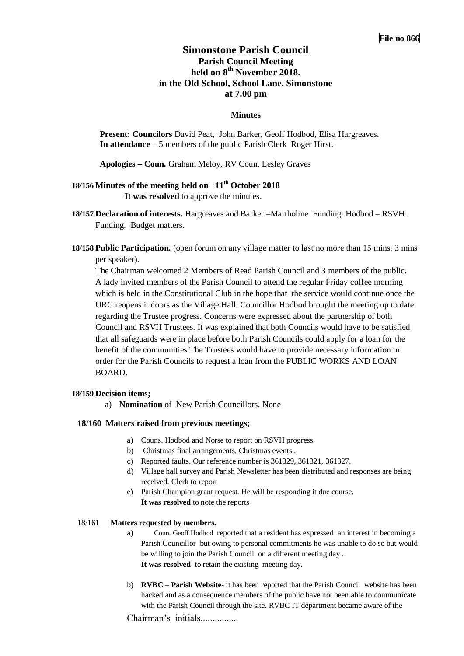# **Simonstone Parish Council Parish Council Meeting held on 8 th November 2018. in the Old School, School Lane, Simonstone at 7.00 pm**

## **Minutes**

**Present: Councilors** David Peat, John Barker, Geoff Hodbod, Elisa Hargreaves. **In attendance** – 5 members of the public Parish Clerk Roger Hirst.

**Apologies – Coun.** Graham Meloy, RV Coun. Lesley Graves

# **18/156 Minutes of the meeting held on 11th October 2018 It was resolved** to approve the minutes.

**18/157 Declaration of interests.** Hargreaves and Barker –Martholme Funding. Hodbod – RSVH . Funding. Budget matters.

**18/158 Public Participation.** (open forum on any village matter to last no more than 15 mins. 3 mins per speaker).

The Chairman welcomed 2 Members of Read Parish Council and 3 members of the public. A lady invited members of the Parish Council to attend the regular Friday coffee morning which is held in the Constitutional Club in the hope that the service would continue once the URC reopens it doors as the Village Hall. Councillor Hodbod brought the meeting up to date regarding the Trustee progress. Concerns were expressed about the partnership of both Council and RSVH Trustees. It was explained that both Councils would have to be satisfied that all safeguards were in place before both Parish Councils could apply for a loan for the benefit of the communities The Trustees would have to provide necessary information in order for the Parish Councils to request a loan from the PUBLIC WORKS AND LOAN BOARD.

### **18/159 Decision items;**

a) **Nomination** of New Parish Councillors. None

## **18/160 Matters raised from previous meetings;**

- a) Couns. Hodbod and Norse to report on RSVH progress.
- b) Christmas final arrangements, Christmas events .
- c) Reported faults. Our reference number is 361329, 361321, 361327.
- d) Village hall survey and Parish Newsletter has been distributed and responses are being received. Clerk to report
- e) Parish Champion grant request. He will be responding it due course. **It was resolved** to note the reports

## 18/161 **Matters requested by members.**

- a) Coun. Geoff Hodbod reported that a resident has expressed an interest in becoming a Parish Councillor but owing to personal commitments he was unable to do so but would be willing to join the Parish Council on a different meeting day . **It was resolved** to retain the existing meeting day.
- b) **RVBC – Parish Website** it has been reported that the Parish Council website has been hacked and as a consequence members of the public have not been able to communicate with the Parish Council through the site. RVBC IT department became aware of the

Chairman's initials................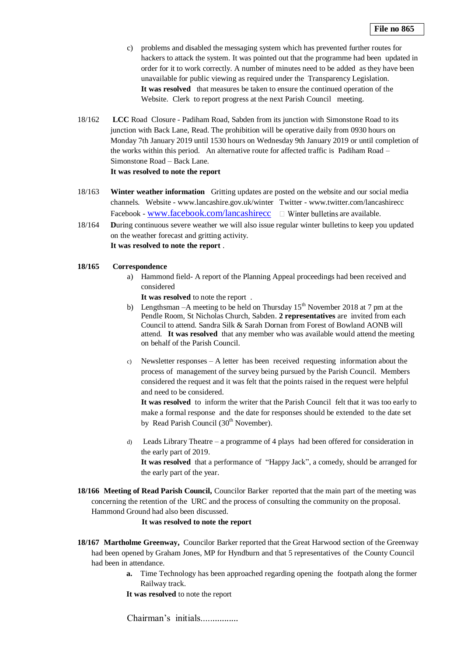- c) problems and disabled the messaging system which has prevented further routes for hackers to attack the system. It was pointed out that the programme had been updated in order for it to work correctly. A number of minutes need to be added as they have been unavailable for public viewing as required under the Transparency Legislation. **It was resolved** that measures be taken to ensure the continued operation of the Website. Clerk to report progress at the next Parish Council meeting.
- 18/162 **LCC** Road Closure Padiham Road, Sabden from its junction with Simonstone Road to its junction with Back Lane, Read. The prohibition will be operative daily from 0930 hours on Monday 7th January 2019 until 1530 hours on Wednesday 9th January 2019 or until completion of the works within this period.An alternative route for affected traffic is Padiham Road – Simonstone Road – Back Lane. **It was resolved to note the report**
- 18/163 **Winter weather information** Gritting updates are posted on the website and our social media channels. Website - www.lancashire.gov.uk/winter Twitter - www.twitter.com/lancashirecc Facebook - [www.facebook.com/lancashirecc](http://www.facebook.com/lancashirecc)  $\Box$  Winter bulletins are available.
- 18/164 **D**uring continuous severe weather we will also issue regular winter bulletins to keep you updated on the weather forecast and gritting activity. **It was resolved to note the report** .

#### **18/165 Correspondence**

a) Hammond field- A report of the Planning Appeal proceedings had been received and considered

**It was resolved** to note the report .

- b) Lengthsman –A meeting to be held on Thursday  $15<sup>th</sup>$  November 2018 at 7 pm at the Pendle Room, St Nicholas Church, Sabden. **2 representatives** are invited from each Council to attend. Sandra Silk & Sarah Dornan from Forest of Bowland AONB will attend. **It was resolved** that any member who was available would attend the meeting on behalf of the Parish Council.
- c) Newsletter responses A letter has been received requesting information about the process of management of the survey being pursued by the Parish Council. Members considered the request and it was felt that the points raised in the request were helpful and need to be considered.

**It was resolved** to inform the writer that the Parish Council felt that it was too early to make a formal response and the date for responses should be extended to the date set by Read Parish Council (30<sup>th</sup> November).

- d) Leads Library Theatre a programme of 4 plays had been offered for consideration in the early part of 2019. **It was resolved** that a performance of "Happy Jack", a comedy, should be arranged for the early part of the year.
- **18/166 Meeting of Read Parish Council,** Councilor Barker reported that the main part of the meeting was concerning the retention of the URC and the process of consulting the community on the proposal. Hammond Ground had also been discussed.

#### **It was resolved to note the report**

- **18/167 Martholme Greenway,** Councilor Barker reported that the Great Harwood section of the Greenway had been opened by Graham Jones, MP for Hyndburn and that 5 representatives of the County Council had been in attendance.
	- **a.** Time Technology has been approached regarding opening the footpath along the former Railway track.
	- **It was resolved** to note the report

Chairman's initials................